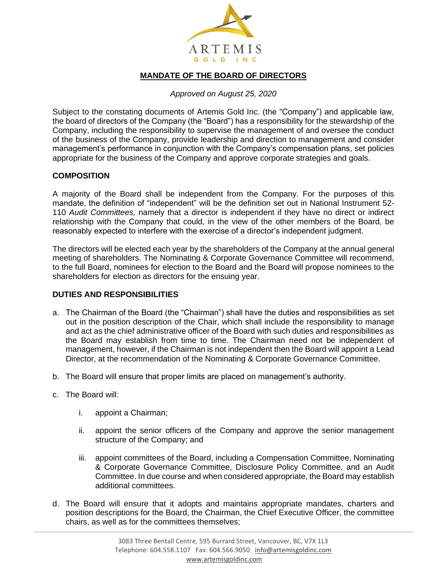

# **MANDATE OF THE BOARD OF DIRECTORS**

#### *Approved on August 25, 2020*

Subject to the constating documents of Artemis Gold Inc. (the "Company") and applicable law, the board of directors of the Company (the "Board") has a responsibility for the stewardship of the Company, including the responsibility to supervise the management of and oversee the conduct of the business of the Company, provide leadership and direction to management and consider management's performance in conjunction with the Company's compensation plans, set policies appropriate for the business of the Company and approve corporate strategies and goals.

#### **COMPOSITION**

A majority of the Board shall be independent from the Company. For the purposes of this mandate, the definition of "independent" will be the definition set out in National Instrument 52- 110 *Audit Committees,* namely that a director is independent if they have no direct or indirect relationship with the Company that could, in the view of the other members of the Board, be reasonably expected to interfere with the exercise of a director's independent judgment.

The directors will be elected each year by the shareholders of the Company at the annual general meeting of shareholders. The Nominating & Corporate Governance Committee will recommend, to the full Board, nominees for election to the Board and the Board will propose nominees to the shareholders for election as directors for the ensuing year.

## **DUTIES AND RESPONSIBILITIES**

- a. The Chairman of the Board (the "Chairman") shall have the duties and responsibilities as set out in the position description of the Chair, which shall include the responsibility to manage and act as the chief administrative officer of the Board with such duties and responsibilities as the Board may establish from time to time. The Chairman need not be independent of management, however, if the Chairman is not independent then the Board will appoint a Lead Director, at the recommendation of the Nominating & Corporate Governance Committee.
- b. The Board will ensure that proper limits are placed on management's authority.
- c. The Board will:
	- i. appoint a Chairman;
	- ii. appoint the senior officers of the Company and approve the senior management structure of the Company; and
	- iii. appoint committees of the Board, including a Compensation Committee, Nominating & Corporate Governance Committee, Disclosure Policy Committee, and an Audit Committee. In due course and when considered appropriate, the Board may establish additional committees.
- d. The Board will ensure that it adopts and maintains appropriate mandates, charters and position descriptions for the Board, the Chairman, the Chief Executive Officer, the committee chairs, as well as for the committees themselves;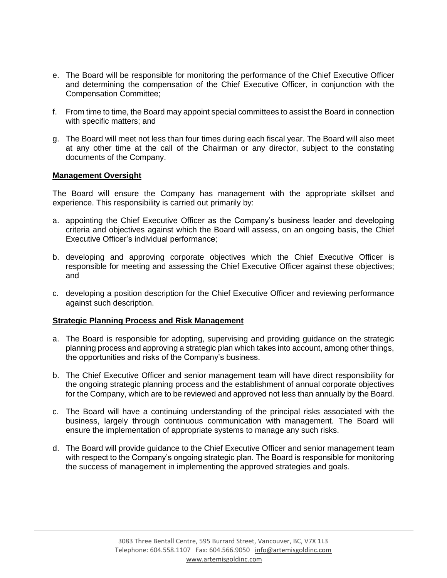- e. The Board will be responsible for monitoring the performance of the Chief Executive Officer and determining the compensation of the Chief Executive Officer, in conjunction with the Compensation Committee;
- f. From time to time, the Board may appoint special committees to assist the Board in connection with specific matters; and
- g. The Board will meet not less than four times during each fiscal year. The Board will also meet at any other time at the call of the Chairman or any director, subject to the constating documents of the Company.

#### **Management Oversight**

The Board will ensure the Company has management with the appropriate skillset and experience. This responsibility is carried out primarily by:

- a. appointing the Chief Executive Officer as the Company's business leader and developing criteria and objectives against which the Board will assess, on an ongoing basis, the Chief Executive Officer's individual performance;
- b. developing and approving corporate objectives which the Chief Executive Officer is responsible for meeting and assessing the Chief Executive Officer against these objectives; and
- c. developing a position description for the Chief Executive Officer and reviewing performance against such description.

## **Strategic Planning Process and Risk Management**

- a. The Board is responsible for adopting, supervising and providing guidance on the strategic planning process and approving a strategic plan which takes into account, among other things, the opportunities and risks of the Company's business.
- b. The Chief Executive Officer and senior management team will have direct responsibility for the ongoing strategic planning process and the establishment of annual corporate objectives for the Company, which are to be reviewed and approved not less than annually by the Board.
- c. The Board will have a continuing understanding of the principal risks associated with the business, largely through continuous communication with management. The Board will ensure the implementation of appropriate systems to manage any such risks.
- d. The Board will provide guidance to the Chief Executive Officer and senior management team with respect to the Company's ongoing strategic plan. The Board is responsible for monitoring the success of management in implementing the approved strategies and goals.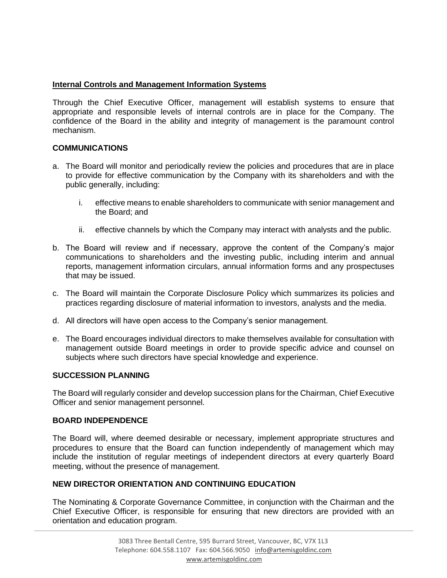## **Internal Controls and Management Information Systems**

Through the Chief Executive Officer, management will establish systems to ensure that appropriate and responsible levels of internal controls are in place for the Company. The confidence of the Board in the ability and integrity of management is the paramount control mechanism.

## **COMMUNICATIONS**

- a. The Board will monitor and periodically review the policies and procedures that are in place to provide for effective communication by the Company with its shareholders and with the public generally, including:
	- i. effective means to enable shareholders to communicate with senior management and the Board; and
	- ii. effective channels by which the Company may interact with analysts and the public.
- b. The Board will review and if necessary, approve the content of the Company's major communications to shareholders and the investing public, including interim and annual reports, management information circulars, annual information forms and any prospectuses that may be issued.
- c. The Board will maintain the Corporate Disclosure Policy which summarizes its policies and practices regarding disclosure of material information to investors, analysts and the media.
- d. All directors will have open access to the Company's senior management.
- e. The Board encourages individual directors to make themselves available for consultation with management outside Board meetings in order to provide specific advice and counsel on subjects where such directors have special knowledge and experience.

## **SUCCESSION PLANNING**

The Board will regularly consider and develop succession plans for the Chairman, Chief Executive Officer and senior management personnel.

## **BOARD INDEPENDENCE**

The Board will, where deemed desirable or necessary, implement appropriate structures and procedures to ensure that the Board can function independently of management which may include the institution of regular meetings of independent directors at every quarterly Board meeting, without the presence of management.

## **NEW DIRECTOR ORIENTATION AND CONTINUING EDUCATION**

The Nominating & Corporate Governance Committee, in conjunction with the Chairman and the Chief Executive Officer, is responsible for ensuring that new directors are provided with an orientation and education program.